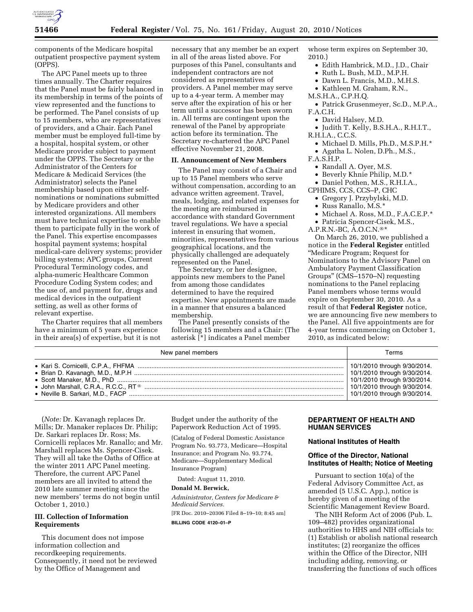

components of the Medicare hospital outpatient prospective payment system (OPPS).

The APC Panel meets up to three times annually. The Charter requires that the Panel must be fairly balanced in its membership in terms of the points of view represented and the functions to be performed. The Panel consists of up to 15 members, who are representatives of providers, and a Chair. Each Panel member must be employed full-time by a hospital, hospital system, or other Medicare provider subject to payment under the OPPS. The Secretary or the Administrator of the Centers for Medicare & Medicaid Services (the Administrator) selects the Panel membership based upon either selfnominations or nominations submitted by Medicare providers and other interested organizations. All members must have technical expertise to enable them to participate fully in the work of the Panel. This expertise encompasses hospital payment systems; hospital medical-care delivery systems; provider billing systems; APC groups, Current Procedural Terminology codes, and alpha-numeric Healthcare Common Procedure Coding System codes; and the use of, and payment for, drugs and medical devices in the outpatient setting, as well as other forms of relevant expertise.

The Charter requires that all members have a minimum of 5 years experience in their area(s) of expertise, but it is not

necessary that any member be an expert in all of the areas listed above. For purposes of this Panel, consultants and independent contractors are not considered as representatives of providers. A Panel member may serve up to a 4-year term. A member may serve after the expiration of his or her term until a successor has been sworn in. All terms are contingent upon the renewal of the Panel by appropriate action before its termination. The Secretary re-chartered the APC Panel effective November 21, 2008.

#### **II. Announcement of New Members**

The Panel may consist of a Chair and up to 15 Panel members who serve without compensation, according to an advance written agreement. Travel, meals, lodging, and related expenses for the meeting are reimbursed in accordance with standard Government travel regulations. We have a special interest in ensuring that women, minorities, representatives from various geographical locations, and the physically challenged are adequately represented on the Panel.

The Secretary, or her designee, appoints new members to the Panel from among those candidates determined to have the required expertise. New appointments are made in a manner that ensures a balanced membership.

The Panel presently consists of the following 15 members and a Chair: (The asterisk [\*] indicates a Panel member

whose term expires on September 30, 2010.)

- Edith Hambrick, M.D., J.D., Chair
- Ruth L. Bush, M.D., M.P.H.
- Dawn L. Francis, M.D., M.H.S.
- Kathleen M. Graham, R.N.,
- M.S.H.A., C.P.H.Q.
- Patrick Grusenmeyer, Sc.D., M.P.A., F.A.C.H.
	- David Halsey, M.D.
- Judith T. Kelly, B.S.H.A., R.H.I.T., R.H.I.A., C.C.S.
	- Michael D. Mills, Ph.D., M.S.P.H.\*
	- Agatha L. Nolen, D.Ph., M.S.,
- F.A.S.H.P.
	- Randall A. Oyer, M.S.
	- Beverly Khnie Philip, M.D.\*
- Daniel Pothen, M.S., R.H.I.A.,
- CPHIMS, CCS, CCS–P, CHC
	- Gregory J. Przybylski, M.D.
	- Russ Ranallo, M.S.\*
	- Michael A. Ross, M.D., F.A.C.E.P.\*
	- Patricia Spencer-Cisek, M.S.,

A.P.R.N.-BC, A.O.C.N.®\*

On March 26, 2010, we published a notice in the **Federal Register** entitled ''Medicare Program; Request for Nominations to the Advisory Panel on Ambulatory Payment Classification Groups'' (CMS–1570–N) requesting nominations to the Panel replacing Panel members whose terms would expire on September 30, 2010. As a result of that **Federal Register** notice, we are announcing five new members to the Panel. All five appointments are for 4-year terms commencing on October 1, 2010, as indicated below:

| New panel members | Terms                        |
|-------------------|------------------------------|
|                   | 10/1/2010 through 9/30/2014. |
|                   | 10/1/2010 through 9/30/2014. |
|                   | 10/1/2010 through 9/30/2014. |
|                   | 10/1/2010 through 9/30/2014. |
|                   | 10/1/2010 through 9/30/2014. |

(*Note:* Dr. Kavanagh replaces Dr. Mills; Dr. Manaker replaces Dr. Philip; Dr. Sarkari replaces Dr. Ross; Ms. Cornicelli replaces Mr. Ranallo; and Mr. Marshall replaces Ms. Spencer-Cisek. They will all take the Oaths of Office at the winter 2011 APC Panel meeting. Therefore, the current APC Panel members are all invited to attend the 2010 late summer meeting since the new members' terms do not begin until October 1, 2010.)

## **III. Collection of Information Requirements**

This document does not impose information collection and recordkeeping requirements. Consequently, it need not be reviewed by the Office of Management and

Budget under the authority of the Paperwork Reduction Act of 1995.

(Catalog of Federal Domestic Assistance Program No. 93.773, Medicare—Hospital Insurance; and Program No. 93.774, Medicare—Supplementary Medical Insurance Program)

Dated: August 11, 2010.

#### **Donald M. Berwick,**

*Administrator, Centers for Medicare & Medicaid Services.* 

[FR Doc. 2010–20306 Filed 8–19–10; 8:45 am]

**BILLING CODE 4120–01–P** 

# **DEPARTMENT OF HEALTH AND HUMAN SERVICES**

#### **National Institutes of Health**

## **Office of the Director, National Institutes of Health; Notice of Meeting**

Pursuant to section 10(a) of the Federal Advisory Committee Act, as amended (5 U.S.C. App.), notice is hereby given of a meeting of the Scientific Management Review Board.

The NIH Reform Act of 2006 (Pub. L. 109–482) provides organizational authorities to HHS and NIH officials to: (1) Establish or abolish national research institutes; (2) reorganize the offices within the Office of the Director, NIH including adding, removing, or transferring the functions of such offices